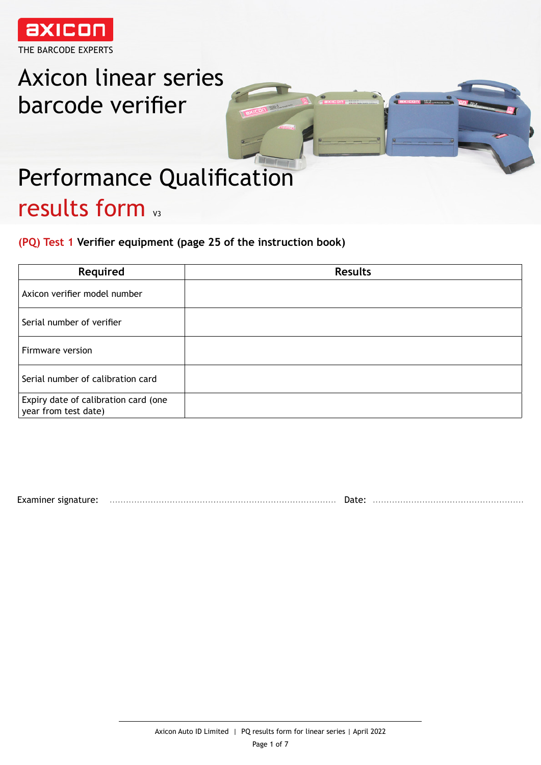

# Axicon linear series barcode verifier



# Performance Qualification results form v3

**(PQ) Test 1 Verifier equipment (page 25 of the instruction book)**

| Required                                                     | <b>Results</b> |
|--------------------------------------------------------------|----------------|
| Axicon verifier model number                                 |                |
| Serial number of verifier                                    |                |
| Firmware version                                             |                |
| Serial number of calibration card                            |                |
| Expiry date of calibration card (one<br>year from test date) |                |

Examiner signature: Date: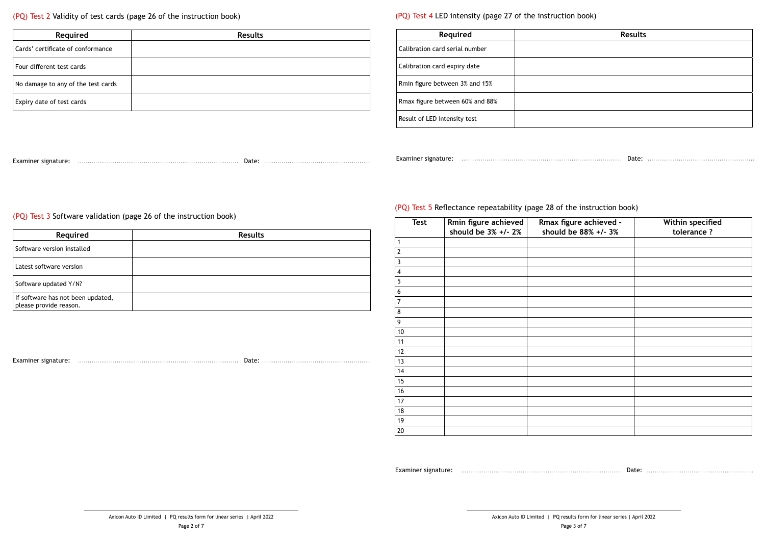| <b>Results</b> |  |
|----------------|--|
|                |  |
|                |  |
|                |  |
|                |  |
|                |  |
|                |  |
|                |  |
|                |  |
|                |  |
|                |  |
|                |  |
|                |  |

Examiner signature: www.communicality.com/municality.com/municality/communicality/communicality/communicality/

| Examiner signature: |  |  | Examiner signature: |  |  |  |
|---------------------|--|--|---------------------|--|--|--|
|                     |  |  |                     |  |  |  |

#### (PQ) Test 2 Validity of test cards (page 26 of the instruction book)

| Required                           | <b>Results</b> |
|------------------------------------|----------------|
| Cards' certificate of conformance  |                |
| Four different test cards          |                |
| No damage to any of the test cards |                |
| Expiry date of test cards          |                |

## (PQ) Test 3 Software validation (page 26 of the instruction book)

### (PQ) Test 4 LED intensity (page 27 of the instruction book)

| Required                        | Results |
|---------------------------------|---------|
| Calibration card serial number  |         |
| Calibration card expiry date    |         |
| Rmin figure between 3% and 15%  |         |
| Rmax figure between 60% and 88% |         |
| Result of LED intensity test    |         |

| Expiry date of test cards                                         |                |
|-------------------------------------------------------------------|----------------|
|                                                                   |                |
| (PQ) Test 3 Software validation (page 26 of the instruction book) |                |
| Required                                                          | <b>Results</b> |
| Software version installed                                        |                |
| Latest software version                                           |                |
| Software updated Y/N?                                             |                |
| If software has not been updated,<br>please provide reason.       |                |

Examiner signature: Material and the contraction of the contraction of the contraction of the contraction of the contraction of the contraction of the contraction of the contraction of the contraction of the contraction of

# (PQ) Test 5 Reflectance repeatability (page 28 of the instruction book)

|                             | Rmax figure between 60% and 88% |                                             |                                                                         |                                 |
|-----------------------------|---------------------------------|---------------------------------------------|-------------------------------------------------------------------------|---------------------------------|
|                             | Result of LED intensity test    |                                             |                                                                         |                                 |
|                             |                                 |                                             |                                                                         |                                 |
|                             |                                 |                                             |                                                                         |                                 |
|                             |                                 |                                             |                                                                         |                                 |
|                             |                                 |                                             |                                                                         |                                 |
|                             |                                 |                                             |                                                                         |                                 |
| 26 of the instruction book) |                                 |                                             | (PQ) Test 5 Reflectance repeatability (page 28 of the instruction book) |                                 |
| Results                     | <b>Test</b>                     | Rmin figure achieved<br>should be 3% +/- 2% | Rmax figure achieved -<br>should be 88% +/- 3%                          | Within specified<br>tolerance ? |
|                             |                                 |                                             |                                                                         |                                 |
|                             |                                 |                                             |                                                                         |                                 |
|                             | $\overline{3}$                  |                                             |                                                                         |                                 |
|                             | $\overline{4}$                  |                                             |                                                                         |                                 |
|                             | 5                               |                                             |                                                                         |                                 |
|                             | 6                               |                                             |                                                                         |                                 |
|                             | 7                               |                                             |                                                                         |                                 |
|                             | 8                               |                                             |                                                                         |                                 |
|                             | 9                               |                                             |                                                                         |                                 |
|                             | $10$                            |                                             |                                                                         |                                 |
|                             | 11                              |                                             |                                                                         |                                 |
|                             | 12                              |                                             |                                                                         |                                 |
|                             | 13                              |                                             |                                                                         |                                 |
|                             | 14                              |                                             |                                                                         |                                 |
|                             | 15                              |                                             |                                                                         |                                 |
|                             | 16                              |                                             |                                                                         |                                 |
|                             | 17                              |                                             |                                                                         |                                 |
|                             | 18                              |                                             |                                                                         |                                 |
|                             | 19                              |                                             |                                                                         |                                 |
|                             | $20\degree$                     |                                             |                                                                         |                                 |
|                             |                                 |                                             |                                                                         |                                 |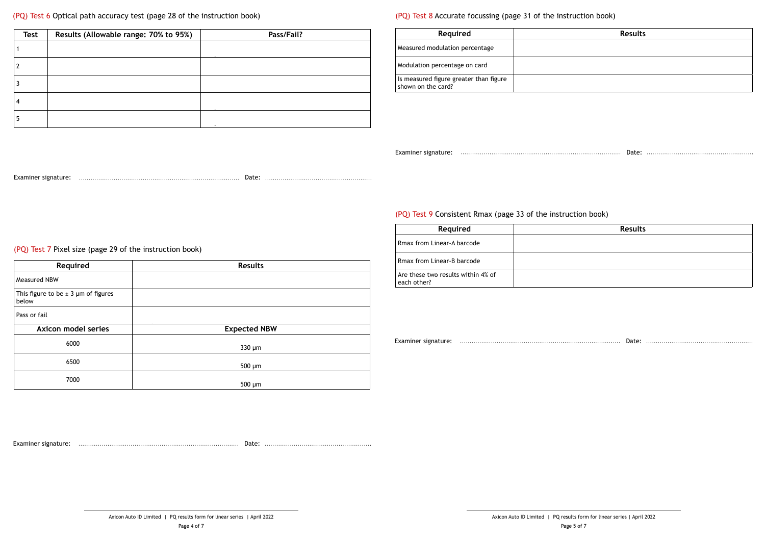| ction book) |
|-------------|

| <b>Results</b> |  |  |
|----------------|--|--|
|                |  |  |
|                |  |  |
|                |  |  |
|                |  |  |
|                |  |  |
|                |  |  |
|                |  |  |
|                |  |  |
|                |  |  |
|                |  |  |
|                |  |  |
|                |  |  |
|                |  |  |
|                |  |  |

(PQ) Test 6 Optical path accuracy test (page 28 of the instruction book)

| <b>Test</b> | Results (Allowable range: 70% to 95%) | Pass/Fail? |
|-------------|---------------------------------------|------------|
|             |                                       |            |
|             |                                       |            |
|             |                                       |            |
|             |                                       |            |
|             |                                       |            |

### (PQ) Test 8 Accurate focussing (page 31 of the instruction

| <b>Required</b>                                              | Results |
|--------------------------------------------------------------|---------|
| Measured modulation percentage                               |         |
| Modulation percentage on card                                |         |
| Is measured figure greater than figure<br>shown on the card? |         |

Examiner signature: www.communicality.com/municality.com/municality/communicality/communicality/communicality/

| $\mathbf{2}$                                             |                     | Modulation percentage on card                                |  |
|----------------------------------------------------------|---------------------|--------------------------------------------------------------|--|
| $\mathbf{3}$                                             |                     | Is measured figure greater than figure<br>shown on the card? |  |
| $\overline{\mathbf{4}}$                                  |                     |                                                              |  |
| 5 <sub>1</sub>                                           |                     |                                                              |  |
|                                                          |                     |                                                              |  |
|                                                          |                     |                                                              |  |
|                                                          |                     |                                                              |  |
|                                                          |                     | (PQ) Test 9 Consistent Rmax (page 33 of                      |  |
|                                                          |                     | Required                                                     |  |
| (PQ) Test 7 Pixel size (page 29 of the instruction book) |                     | Rmax from Linear-A barcode                                   |  |
| Required                                                 | <b>Results</b>      | Rmax from Linear-B barcode                                   |  |
| <b>Measured NBW</b>                                      |                     | Are these two results within 4% of<br>each other?            |  |
| This figure to be $\pm$ 3 µm of figures<br>below         |                     |                                                              |  |
| Pass or fail                                             |                     |                                                              |  |
| <b>Axicon model series</b>                               | <b>Expected NBW</b> |                                                              |  |
| 6000                                                     | $330 \mu m$         |                                                              |  |
| 6500                                                     | $500 \mu m$         |                                                              |  |
|                                                          |                     |                                                              |  |

| Required                                          | <b>Results</b> |
|---------------------------------------------------|----------------|
| Rmax from Linear-A barcode                        |                |
| Rmax from Linear-B barcode                        |                |
| Are these two results within 4% of<br>each other? |                |
|                                                   |                |
|                                                   |                |

(PQ) Test 9 Consistent Rmax (page 33 of the instruction book)

Examiner signature: Date:

Examiner signature: Material Communications and Communications and Date: Material Communications and Date: Material Communications and Date: Material Communications and Date: Material Communications and Date: Material Comm